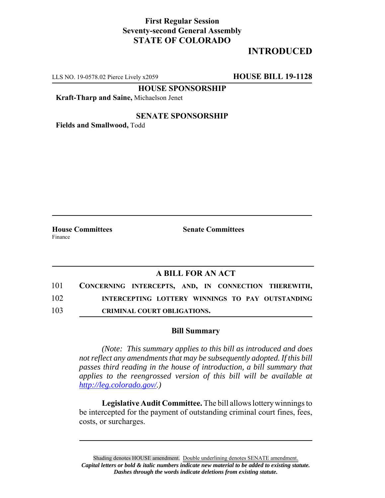## **First Regular Session Seventy-second General Assembly STATE OF COLORADO**

# **INTRODUCED**

LLS NO. 19-0578.02 Pierce Lively x2059 **HOUSE BILL 19-1128**

**HOUSE SPONSORSHIP**

**Kraft-Tharp and Saine,** Michaelson Jenet

#### **SENATE SPONSORSHIP**

**Fields and Smallwood,** Todd

Finance

**House Committees Senate Committees**

### **A BILL FOR AN ACT**

| 101 | CONCERNING INTERCEPTS, AND, IN CONNECTION THEREWITH, |
|-----|------------------------------------------------------|
| 102 | INTERCEPTING LOTTERY WINNINGS TO PAY OUTSTANDING     |
| 103 | <b>CRIMINAL COURT OBLIGATIONS.</b>                   |

#### **Bill Summary**

*(Note: This summary applies to this bill as introduced and does not reflect any amendments that may be subsequently adopted. If this bill passes third reading in the house of introduction, a bill summary that applies to the reengrossed version of this bill will be available at http://leg.colorado.gov/.)*

**Legislative Audit Committee.** The bill allows lottery winnings to be intercepted for the payment of outstanding criminal court fines, fees, costs, or surcharges.

Shading denotes HOUSE amendment. Double underlining denotes SENATE amendment. *Capital letters or bold & italic numbers indicate new material to be added to existing statute. Dashes through the words indicate deletions from existing statute.*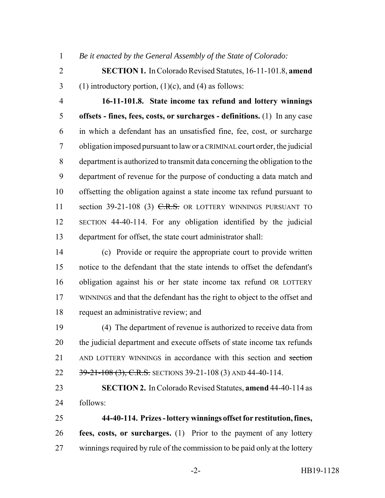*Be it enacted by the General Assembly of the State of Colorado:*

- **SECTION 1.** In Colorado Revised Statutes, 16-11-101.8, **amend** 3 (1) introductory portion,  $(1)(c)$ , and  $(4)$  as follows:
- 

 **16-11-101.8. State income tax refund and lottery winnings offsets - fines, fees, costs, or surcharges - definitions.** (1) In any case in which a defendant has an unsatisfied fine, fee, cost, or surcharge obligation imposed pursuant to law or a CRIMINAL court order, the judicial department is authorized to transmit data concerning the obligation to the department of revenue for the purpose of conducting a data match and offsetting the obligation against a state income tax refund pursuant to 11 section 39-21-108 (3) C.R.S. OR LOTTERY WINNINGS PURSUANT TO SECTION 44-40-114. For any obligation identified by the judicial department for offset, the state court administrator shall:

 (c) Provide or require the appropriate court to provide written notice to the defendant that the state intends to offset the defendant's obligation against his or her state income tax refund OR LOTTERY WINNINGS and that the defendant has the right to object to the offset and request an administrative review; and

 (4) The department of revenue is authorized to receive data from the judicial department and execute offsets of state income tax refunds 21 AND LOTTERY WINNINGS in accordance with this section and section 22 39-21-108 (3), C.R.S. SECTIONS 39-21-108 (3) AND 44-40-114.

 **SECTION 2.** In Colorado Revised Statutes, **amend** 44-40-114 as follows:

 **44-40-114. Prizes - lottery winnings offset for restitution, fines, fees, costs, or surcharges.** (1) Prior to the payment of any lottery winnings required by rule of the commission to be paid only at the lottery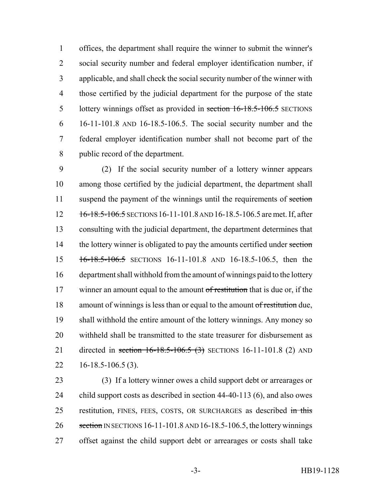offices, the department shall require the winner to submit the winner's social security number and federal employer identification number, if applicable, and shall check the social security number of the winner with those certified by the judicial department for the purpose of the state 5 lottery winnings offset as provided in section 16-18.5-106.5 SECTIONS 16-11-101.8 AND 16-18.5-106.5. The social security number and the federal employer identification number shall not become part of the public record of the department.

 (2) If the social security number of a lottery winner appears among those certified by the judicial department, the department shall 11 suspend the payment of the winnings until the requirements of section 12 16-18.5-106.5 SECTIONS 16-11-101.8 AND 16-18.5-106.5 are met. If, after consulting with the judicial department, the department determines that 14 the lottery winner is obligated to pay the amounts certified under section 16-18.5-106.5 SECTIONS 16-11-101.8 AND 16-18.5-106.5, then the department shall withhold from the amount of winnings paid to the lottery 17 winner an amount equal to the amount of restitution that is due or, if the 18 amount of winnings is less than or equal to the amount of restitution due, shall withhold the entire amount of the lottery winnings. Any money so withheld shall be transmitted to the state treasurer for disbursement as 21 directed in section 16-18.5-106.5 (3) SECTIONS 16-11-101.8 (2) AND 16-18.5-106.5 (3).

 (3) If a lottery winner owes a child support debt or arrearages or child support costs as described in section 44-40-113 (6), and also owes 25 restitution, FINES, FEES, COSTS, OR SURCHARGES as described in this 26 section IN SECTIONS 16-11-101.8 AND 16-18.5-106.5, the lottery winnings offset against the child support debt or arrearages or costs shall take